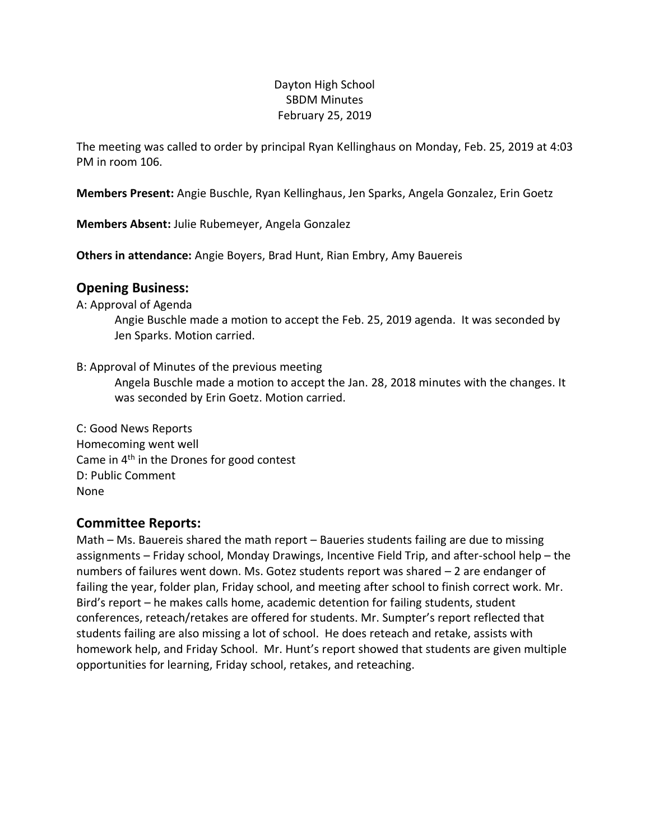## Dayton High School SBDM Minutes February 25, 2019

The meeting was called to order by principal Ryan Kellinghaus on Monday, Feb. 25, 2019 at 4:03 PM in room 106.

**Members Present:** Angie Buschle, Ryan Kellinghaus, Jen Sparks, Angela Gonzalez, Erin Goetz

**Members Absent:** Julie Rubemeyer, Angela Gonzalez

**Others in attendance:** Angie Boyers, Brad Hunt, Rian Embry, Amy Bauereis

## **Opening Business:**

#### A: Approval of Agenda

Angie Buschle made a motion to accept the Feb. 25, 2019 agenda. It was seconded by Jen Sparks. Motion carried.

#### B: Approval of Minutes of the previous meeting

Angela Buschle made a motion to accept the Jan. 28, 2018 minutes with the changes. It was seconded by Erin Goetz. Motion carried.

C: Good News Reports Homecoming went well Came in 4<sup>th</sup> in the Drones for good contest D: Public Comment None

## **Committee Reports:**

Math – Ms. Bauereis shared the math report – Baueries students failing are due to missing assignments – Friday school, Monday Drawings, Incentive Field Trip, and after-school help – the numbers of failures went down. Ms. Gotez students report was shared – 2 are endanger of failing the year, folder plan, Friday school, and meeting after school to finish correct work. Mr. Bird's report – he makes calls home, academic detention for failing students, student conferences, reteach/retakes are offered for students. Mr. Sumpter's report reflected that students failing are also missing a lot of school. He does reteach and retake, assists with homework help, and Friday School. Mr. Hunt's report showed that students are given multiple opportunities for learning, Friday school, retakes, and reteaching.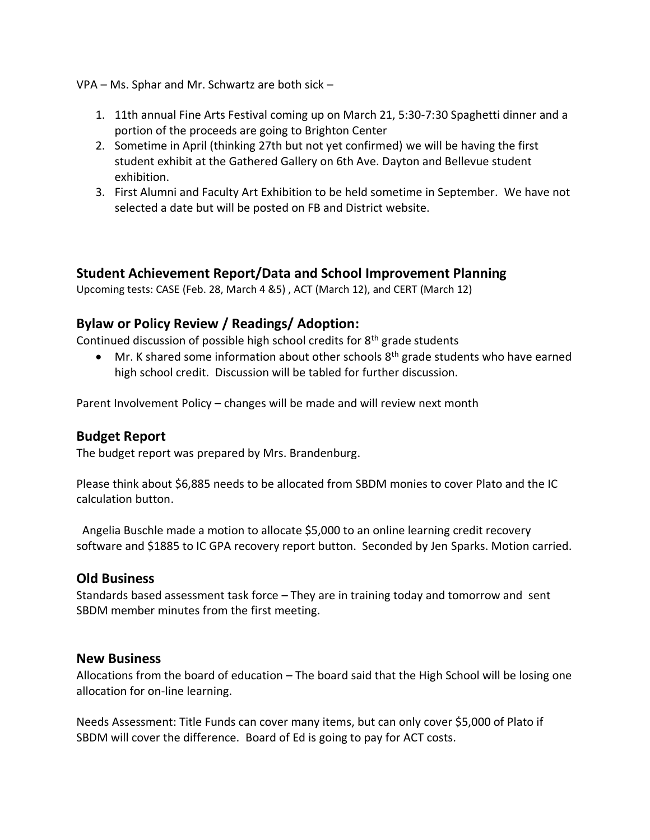VPA – Ms. Sphar and Mr. Schwartz are both sick –

- 1. 11th annual Fine Arts Festival coming up on March 21, 5:30-7:30 Spaghetti dinner and a portion of the proceeds are going to Brighton Center
- 2. Sometime in April (thinking 27th but not yet confirmed) we will be having the first student exhibit at the Gathered Gallery on 6th Ave. Dayton and Bellevue student exhibition.
- 3. First Alumni and Faculty Art Exhibition to be held sometime in September. We have not selected a date but will be posted on FB and District website.

## **Student Achievement Report/Data and School Improvement Planning**

Upcoming tests: CASE (Feb. 28, March 4 &5) , ACT (March 12), and CERT (March 12)

## **Bylaw or Policy Review / Readings/ Adoption:**

Continued discussion of possible high school credits for  $8<sup>th</sup>$  grade students

• Mr. K shared some information about other schools  $8<sup>th</sup>$  grade students who have earned high school credit. Discussion will be tabled for further discussion.

Parent Involvement Policy – changes will be made and will review next month

#### **Budget Report**

The budget report was prepared by Mrs. Brandenburg.

Please think about \$6,885 needs to be allocated from SBDM monies to cover Plato and the IC calculation button.

Angelia Buschle made a motion to allocate \$5,000 to an online learning credit recovery software and \$1885 to IC GPA recovery report button. Seconded by Jen Sparks. Motion carried.

#### **Old Business**

Standards based assessment task force – They are in training today and tomorrow and sent SBDM member minutes from the first meeting.

#### **New Business**

Allocations from the board of education – The board said that the High School will be losing one allocation for on-line learning.

Needs Assessment: Title Funds can cover many items, but can only cover \$5,000 of Plato if SBDM will cover the difference. Board of Ed is going to pay for ACT costs.